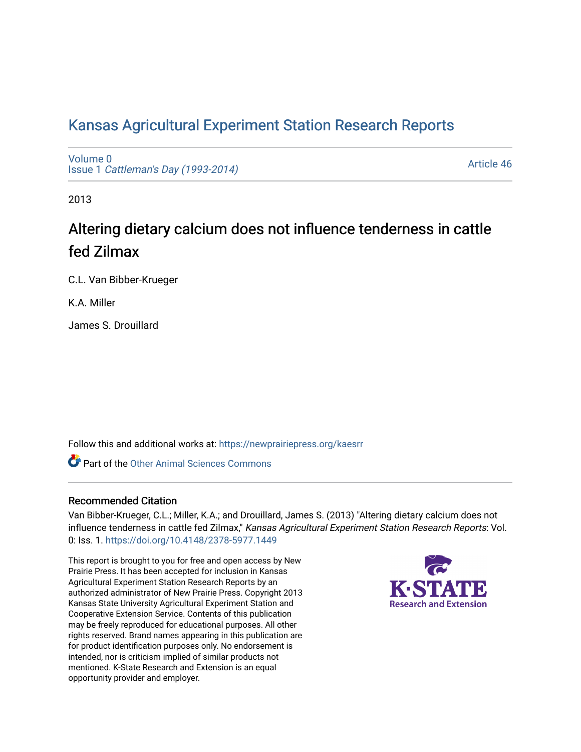# [Kansas Agricultural Experiment Station Research Reports](https://newprairiepress.org/kaesrr)

[Volume 0](https://newprairiepress.org/kaesrr/vol0) Issue 1 [Cattleman's Day \(1993-2014\)](https://newprairiepress.org/kaesrr/vol0/iss1) 

[Article 46](https://newprairiepress.org/kaesrr/vol0/iss1/46) 

2013

# Altering dietary calcium does not influence tenderness in cattle fed Zilmax

C.L. Van Bibber-Krueger

K.A. Miller

James S. Drouillard

Follow this and additional works at: [https://newprairiepress.org/kaesrr](https://newprairiepress.org/kaesrr?utm_source=newprairiepress.org%2Fkaesrr%2Fvol0%2Fiss1%2F46&utm_medium=PDF&utm_campaign=PDFCoverPages) 

**C** Part of the [Other Animal Sciences Commons](http://network.bepress.com/hgg/discipline/82?utm_source=newprairiepress.org%2Fkaesrr%2Fvol0%2Fiss1%2F46&utm_medium=PDF&utm_campaign=PDFCoverPages)

### Recommended Citation

Van Bibber-Krueger, C.L.; Miller, K.A.; and Drouillard, James S. (2013) "Altering dietary calcium does not influence tenderness in cattle fed Zilmax," Kansas Agricultural Experiment Station Research Reports: Vol. 0: Iss. 1.<https://doi.org/10.4148/2378-5977.1449>

This report is brought to you for free and open access by New Prairie Press. It has been accepted for inclusion in Kansas Agricultural Experiment Station Research Reports by an authorized administrator of New Prairie Press. Copyright 2013 Kansas State University Agricultural Experiment Station and Cooperative Extension Service. Contents of this publication may be freely reproduced for educational purposes. All other rights reserved. Brand names appearing in this publication are for product identification purposes only. No endorsement is intended, nor is criticism implied of similar products not mentioned. K-State Research and Extension is an equal opportunity provider and employer.

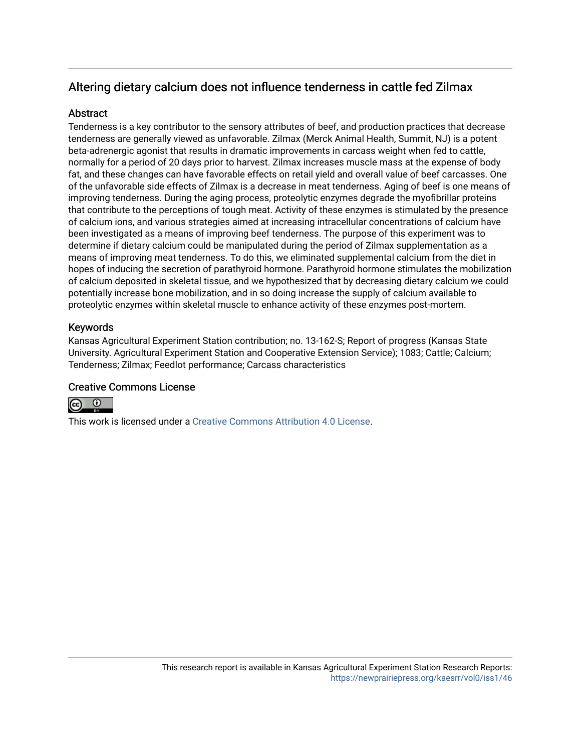# Altering dietary calcium does not influence tenderness in cattle fed Zilmax

### **Abstract**

Tenderness is a key contributor to the sensory attributes of beef, and production practices that decrease tenderness are generally viewed as unfavorable. Zilmax (Merck Animal Health, Summit, NJ) is a potent beta-adrenergic agonist that results in dramatic improvements in carcass weight when fed to cattle, normally for a period of 20 days prior to harvest. Zilmax increases muscle mass at the expense of body fat, and these changes can have favorable effects on retail yield and overall value of beef carcasses. One of the unfavorable side effects of Zilmax is a decrease in meat tenderness. Aging of beef is one means of improving tenderness. During the aging process, proteolytic enzymes degrade the myofibrillar proteins that contribute to the perceptions of tough meat. Activity of these enzymes is stimulated by the presence of calcium ions, and various strategies aimed at increasing intracellular concentrations of calcium have been investigated as a means of improving beef tenderness. The purpose of this experiment was to determine if dietary calcium could be manipulated during the period of Zilmax supplementation as a means of improving meat tenderness. To do this, we eliminated supplemental calcium from the diet in hopes of inducing the secretion of parathyroid hormone. Parathyroid hormone stimulates the mobilization of calcium deposited in skeletal tissue, and we hypothesized that by decreasing dietary calcium we could potentially increase bone mobilization, and in so doing increase the supply of calcium available to proteolytic enzymes within skeletal muscle to enhance activity of these enzymes post-mortem.

## Keywords

Kansas Agricultural Experiment Station contribution; no. 13-162-S; Report of progress (Kansas State University. Agricultural Experiment Station and Cooperative Extension Service); 1083; Cattle; Calcium; Tenderness; Zilmax; Feedlot performance; Carcass characteristics

### Creative Commons License



This work is licensed under a [Creative Commons Attribution 4.0 License](https://creativecommons.org/licenses/by/4.0/).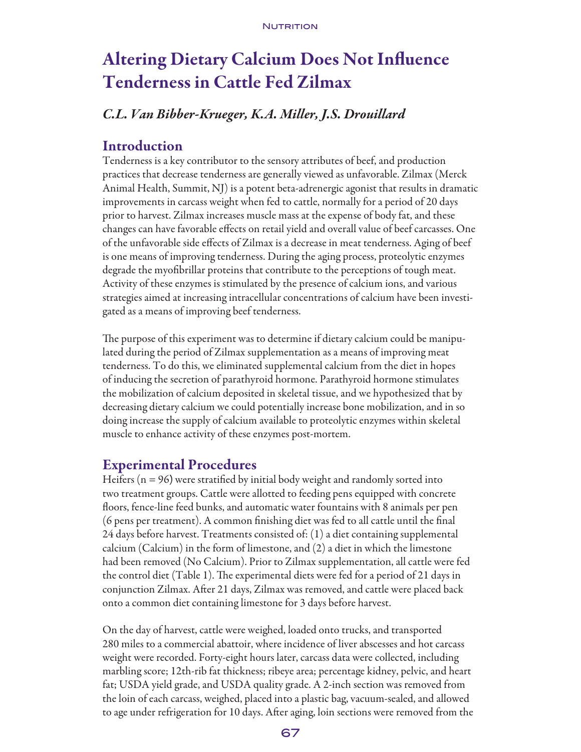# Altering Dietary Calcium Does Not Influence Tenderness in Cattle Fed Zilmax

# *C.L. Van Bibber-Krueger, K.A. Miller, J.S. Drouillard*

# Introduction

Tenderness is a key contributor to the sensory attributes of beef, and production practices that decrease tenderness are generally viewed as unfavorable. Zilmax (Merck Animal Health, Summit, NJ) is a potent beta-adrenergic agonist that results in dramatic improvements in carcass weight when fed to cattle, normally for a period of 20 days prior to harvest. Zilmax increases muscle mass at the expense of body fat, and these changes can have favorable effects on retail yield and overall value of beef carcasses. One of the unfavorable side effects of Zilmax is a decrease in meat tenderness. Aging of beef is one means of improving tenderness. During the aging process, proteolytic enzymes degrade the myofibrillar proteins that contribute to the perceptions of tough meat. Activity of these enzymes is stimulated by the presence of calcium ions, and various strategies aimed at increasing intracellular concentrations of calcium have been investigated as a means of improving beef tenderness.

The purpose of this experiment was to determine if dietary calcium could be manipulated during the period of Zilmax supplementation as a means of improving meat tenderness. To do this, we eliminated supplemental calcium from the diet in hopes of inducing the secretion of parathyroid hormone. Parathyroid hormone stimulates the mobilization of calcium deposited in skeletal tissue, and we hypothesized that by decreasing dietary calcium we could potentially increase bone mobilization, and in so doing increase the supply of calcium available to proteolytic enzymes within skeletal muscle to enhance activity of these enzymes post-mortem.

# Experimental Procedures

Heifers ( $n = 96$ ) were stratified by initial body weight and randomly sorted into two treatment groups. Cattle were allotted to feeding pens equipped with concrete floors, fence-line feed bunks, and automatic water fountains with 8 animals per pen (6 pens per treatment). A common finishing diet was fed to all cattle until the final 24 days before harvest. Treatments consisted of: (1) a diet containing supplemental calcium (Calcium) in the form of limestone, and (2) a diet in which the limestone had been removed (No Calcium). Prior to Zilmax supplementation, all cattle were fed the control diet (Table 1). The experimental diets were fed for a period of 21 days in conjunction Zilmax. After 21 days, Zilmax was removed, and cattle were placed back onto a common diet containing limestone for 3 days before harvest.

On the day of harvest, cattle were weighed, loaded onto trucks, and transported 280 miles to a commercial abattoir, where incidence of liver abscesses and hot carcass weight were recorded. Forty-eight hours later, carcass data were collected, including marbling score; 12th-rib fat thickness; ribeye area; percentage kidney, pelvic, and heart fat; USDA yield grade, and USDA quality grade. A 2-inch section was removed from the loin of each carcass, weighed, placed into a plastic bag, vacuum-sealed, and allowed to age under refrigeration for 10 days. After aging, loin sections were removed from the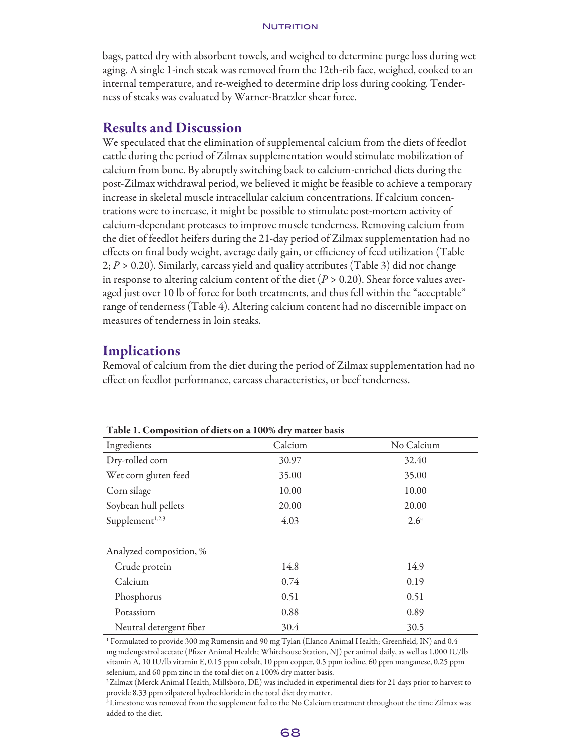#### **NUTRITION**

bags, patted dry with absorbent towels, and weighed to determine purge loss during wet aging. A single 1-inch steak was removed from the 12th-rib face, weighed, cooked to an internal temperature, and re-weighed to determine drip loss during cooking. Tenderness of steaks was evaluated by Warner-Bratzler shear force.

## Results and Discussion

We speculated that the elimination of supplemental calcium from the diets of feedlot cattle during the period of Zilmax supplementation would stimulate mobilization of calcium from bone. By abruptly switching back to calcium-enriched diets during the post-Zilmax withdrawal period, we believed it might be feasible to achieve a temporary increase in skeletal muscle intracellular calcium concentrations. If calcium concentrations were to increase, it might be possible to stimulate post-mortem activity of calcium-dependant proteases to improve muscle tenderness. Removing calcium from the diet of feedlot heifers during the 21-day period of Zilmax supplementation had no effects on final body weight, average daily gain, or efficiency of feed utilization (Table 2; *P* > 0.20). Similarly, carcass yield and quality attributes (Table 3) did not change in response to altering calcium content of the diet  $(P > 0.20)$ . Shear force values averaged just over 10 lb of force for both treatments, and thus fell within the "acceptable" range of tenderness (Table 4). Altering calcium content had no discernible impact on measures of tenderness in loin steaks.

# **Implications**

Removal of calcium from the diet during the period of Zilmax supplementation had no effect on feedlot performance, carcass characteristics, or beef tenderness.

| Table 1. Composition of their on a TOO % thy matter basis |         |               |  |  |  |
|-----------------------------------------------------------|---------|---------------|--|--|--|
| Ingredients                                               | Calcium | No Calcium    |  |  |  |
| Dry-rolled corn                                           | 30.97   | 32.40         |  |  |  |
| Wet corn gluten feed                                      | 35.00   | 35.00         |  |  |  |
| Corn silage                                               | 10.00   | 10.00         |  |  |  |
| Soybean hull pellets                                      | 20.00   | 20.00         |  |  |  |
| Supplement <sup>1,2,3</sup>                               | 4.03    | $2.6^{\circ}$ |  |  |  |
| Analyzed composition, %                                   |         |               |  |  |  |
| Crude protein                                             | 14.8    | 14.9          |  |  |  |
| Calcium                                                   | 0.74    | 0.19          |  |  |  |
| Phosphorus                                                | 0.51    | 0.51          |  |  |  |
| Potassium                                                 | 0.88    | 0.89          |  |  |  |
| Neutral detergent fiber                                   | 30.4    | 30.5          |  |  |  |

Table 1. Composition of diets on a 100% dry matter basis

1 Formulated to provide 300 mg Rumensin and 90 mg Tylan (Elanco Animal Health; Greenfield, IN) and 0.4 mg melengestrol acetate (Pfizer Animal Health; Whitehouse Station, NJ) per animal daily, as well as 1,000 IU/lb vitamin A, 10 IU/lb vitamin E, 0.15 ppm cobalt, 10 ppm copper, 0.5 ppm iodine, 60 ppm manganese, 0.25 ppm selenium, and 60 ppm zinc in the total diet on a 100% dry matter basis.

<sup>2</sup> Zilmax (Merck Animal Health, Millsboro, DE) was included in experimental diets for 21 days prior to harvest to provide 8.33 ppm zilpaterol hydrochloride in the total diet dry matter.

<sup>&</sup>lt;sup>3</sup> Limestone was removed from the supplement fed to the No Calcium treatment throughout the time Zilmax was added to the diet.